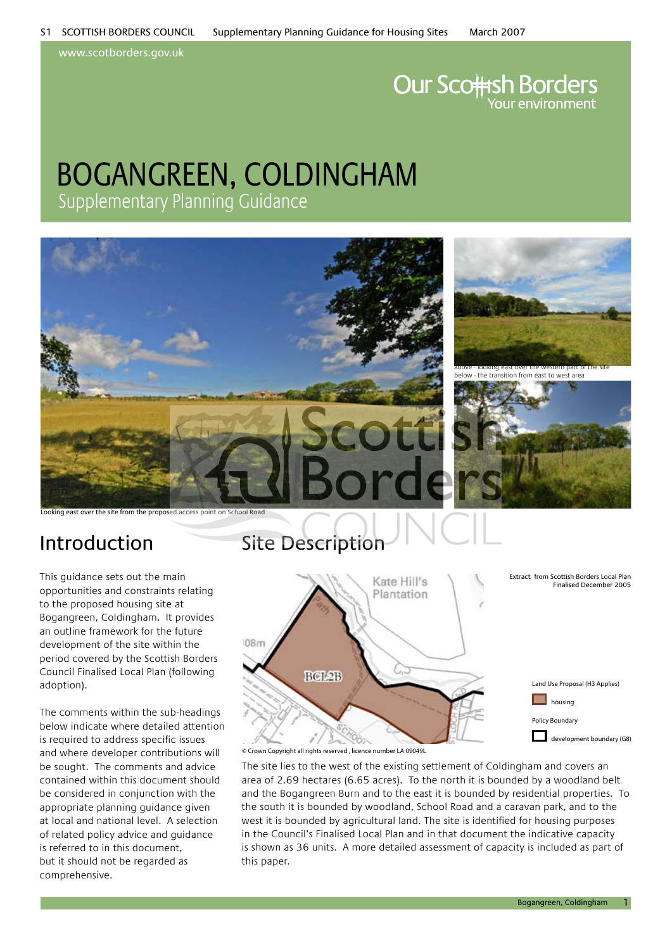www.scotborders.gov.uk

# **Our Scottsh Borders**

### bogangreen, coldingham Supplementary Planning Guidance



Looking east over the site from the proposed access point on School Road

This guidance sets out the main opportunities and constraints relating to the proposed housing site at Bogangreen, Coldingham. It provides an outline framework for the future development of the site within the period covered by the Scottish Borders Council Finalised Local Plan (following adoption).

The comments within the sub-headings below indicate where detailed attention is required to address specific issues and where developer contributions will be sought. The comments and advice contained within this document should be considered in conjunction with the appropriate planning guidance given at local and national level. A selection of related policy advice and guidance is referred to in this document, but it should not be regarded as comprehensive.

### Introduction Site Description



© Crown Copyright all rights reserved , licence number LA 09049L

The site lies to the west of the existing settlement of Coldingham and covers an area of 2.69 hectares (6.65 acres). To the north it is bounded by a woodland belt and the Bogangreen Burn and to the east it is bounded by residential properties. To the south it is bounded by woodland, School Road and a caravan park, and to the west it is bounded by agricultural land. The site is identified for housing purposes in the Council's Finalised Local Plan and in that document the indicative capacity is shown as 36 units. A more detailed assessment of capacity is included as part of this paper.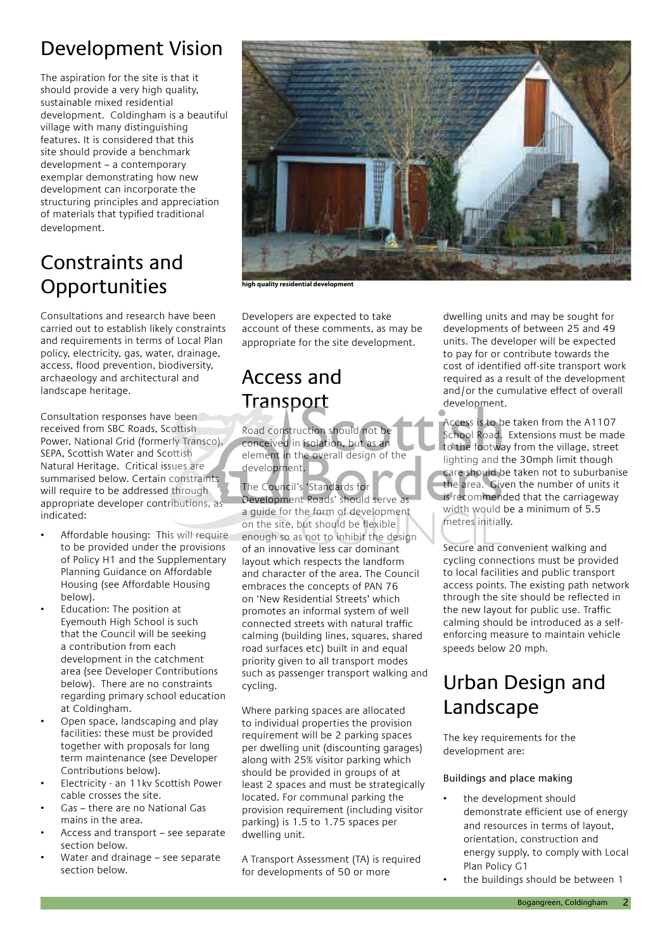### Development Vision

The aspiration for the site is that it should provide a very high quality, sustainable mixed residential development. Coldingham is a beautiful village with many distinguishing features. It is considered that this site should provide a benchmark development – a contemporary exemplar demonstrating how new development can incorporate the structuring principles and appreciation of materials that typified traditional development.

### Constraints and **Opportunities**

Consultations and research have been carried out to establish likely constraints and requirements in terms of Local Plan policy, electricity, gas, water, drainage, access, flood prevention, biodiversity, archaeology and architectural and landscape heritage.

Consultation responses have been received from SBC Roads, Scottish Power, National Grid (formerly Transco), SEPA, Scottish Water and Scottish Natural Heritage. Critical issues are summarised below. Certain constraints will require to be addressed through appropriate developer contributions, as indicated:

- Affordable housing: This will require to be provided under the provisions of Policy H1 and the Supplementary Planning Guidance on Affordable Housing (see Affordable Housing below).
- Education: The position at Eyemouth High School is such that the Council will be seeking a contribution from each development in the catchment area (see Developer Contributions below). There are no constraints regarding primary school education at Coldingham.
- Open space, landscaping and play facilities: these must be provided together with proposals for long term maintenance (see Developer Contributions below).
- Electricity an 11kv Scottish Power cable crosses the site.
- Gas there are no National Gas mains in the area.
- Access and transport see separate section below.
- Water and drainage see separate section below.



**high quality residential development**

Developers are expected to take account of these comments, as may be appropriate for the site development.

### Access and **Transport**

Road construction should not be conceived in isolation, but as an element in the overall design of the development.

The Council's 'Standards for Development Roads' should serve as a guide for the form of development on the site, but should be flexible enough so as not to inhibit the design of an innovative less car dominant layout which respects the landform and character of the area. The Council embraces the concepts of PAN 76 on 'New Residential Streets' which promotes an informal system of well connected streets with natural traffic calming (building lines, squares, shared road surfaces etc) built in and equal priority given to all transport modes such as passenger transport walking and cycling.

Where parking spaces are allocated to individual properties the provision requirement will be 2 parking spaces per dwelling unit (discounting garages) along with 25% visitor parking which should be provided in groups of at least 2 spaces and must be strategically located. For communal parking the provision requirement (including visitor parking) is 1.5 to 1.75 spaces per dwelling unit.

A Transport Assessment (TA) is required for developments of 50 or more

dwelling units and may be sought for developments of between 25 and 49 units. The developer will be expected to pay for or contribute towards the cost of identified off-site transport work required as a result of the development and/or the cumulative effect of overall development.

Access is to be taken from the A1107 School Road. Extensions must be made to the footway from the village, street lighting and the 30mph limit though care should be taken not to suburbanise the area. Given the number of units it is recommended that the carriageway width would be a minimum of 5.5 metres initially.

Secure and convenient walking and cycling connections must be provided to local facilities and public transport access points. The existing path network through the site should be reflected in the new layout for public use. Traffic calming should be introduced as a selfenforcing measure to maintain vehicle speeds below 20 mph.

### Urban Design and Landscape

The key requirements for the development are:

### Buildings and place making

- the development should demonstrate efficient use of energy and resources in terms of layout, orientation, construction and energy supply, to comply with Local Plan Policy G1
- the buildings should be between 1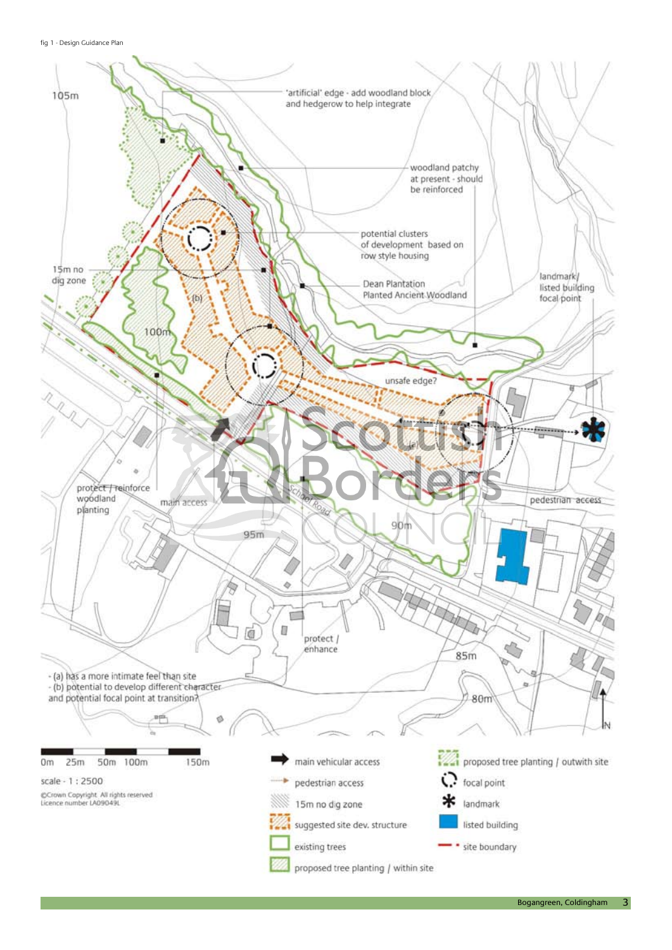fig 1 - Design Guidance Plan



 $\overline{3}$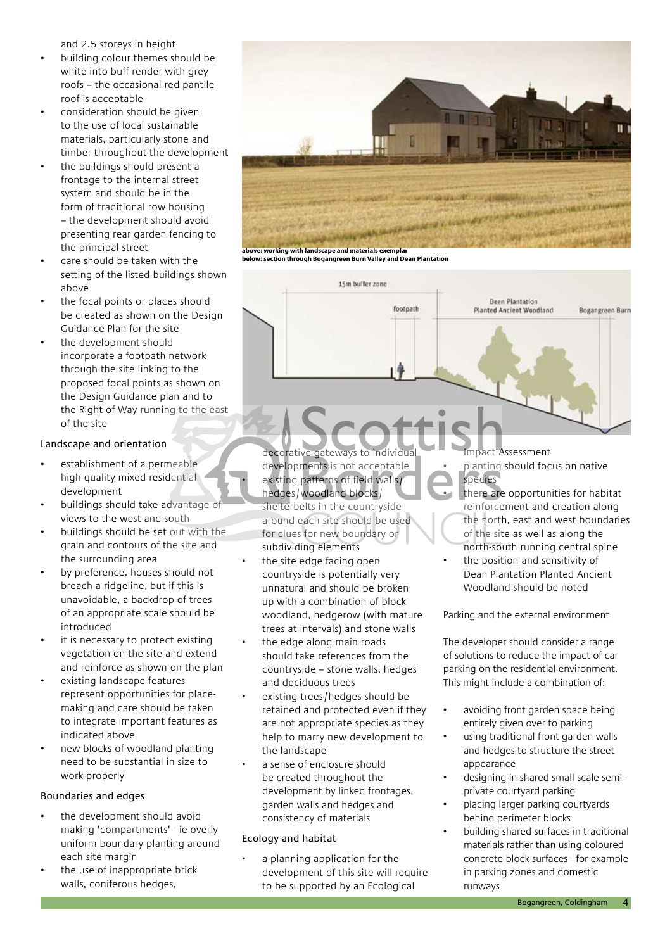and 2.5 storeys in height

- building colour themes should be white into buff render with grey roofs – the occasional red pantile roof is acceptable
- consideration should be given to the use of local sustainable materials, particularly stone and timber throughout the development
- the buildings should present a frontage to the internal street system and should be in the form of traditional row housing – the development should avoid presenting rear garden fencing to the principal street
- care should be taken with the setting of the listed buildings shown above
- the focal points or places should be created as shown on the Design Guidance Plan for the site
- the development should incorporate a footpath network through the site linking to the proposed focal points as shown on the Design Guidance plan and to the Right of Way running to the east of the site

#### Landscape and orientation

- establishment of a permeable high quality mixed residential development
- buildings should take advantage of views to the west and south
- buildings should be set out with the grain and contours of the site and the surrounding area
- by preference, houses should not breach a ridgeline, but if this is unavoidable, a backdrop of trees of an appropriate scale should be introduced
- it is necessary to protect existing vegetation on the site and extend and reinforce as shown on the plan
- existing landscape features represent opportunities for placemaking and care should be taken to integrate important features as indicated above
- new blocks of woodland planting need to be substantial in size to work properly

#### Boundaries and edges

- the development should avoid making 'compartments' - ie overly uniform boundary planting around each site margin
- the use of inappropriate brick walls, coniferous hedges,



**above: working with landscape and materials exemplar below: section through Bogangreen Burn Valley and Dean Plantation**



decorative gateways to individual developments is not acceptable

- existing patterns of field walls/ hedges/woodland blocks/ shelterbelts in the countryside around each site should be used for clues for new boundary or subdividing elements
- the site edge facing open countryside is potentially very unnatural and should be broken up with a combination of block woodland, hedgerow (with mature trees at intervals) and stone walls
- the edge along main roads should take references from the countryside – stone walls, hedges and deciduous trees
- existing trees/hedges should be retained and protected even if they are not appropriate species as they help to marry new development to the landscape
- a sense of enclosure should be created throughout the development by linked frontages, garden walls and hedges and consistency of materials

### Ecology and habitat

a planning application for the development of this site will require to be supported by an Ecological

Impact Assessment

- planting should focus on native species
- there are opportunities for habitat reinforcement and creation along the north, east and west boundaries of the site as well as along the north-south running central spine
- the position and sensitivity of Dean Plantation Planted Ancient Woodland should be noted

Parking and the external environment

The developer should consider a range of solutions to reduce the impact of car parking on the residential environment. This might include a combination of:

- avoiding front garden space being entirely given over to parking
- using traditional front garden walls and hedges to structure the street appearance
- designing-in shared small scale semiprivate courtyard parking
- placing larger parking courtyards behind perimeter blocks
- building shared surfaces in traditional materials rather than using coloured concrete block surfaces - for example in parking zones and domestic runways